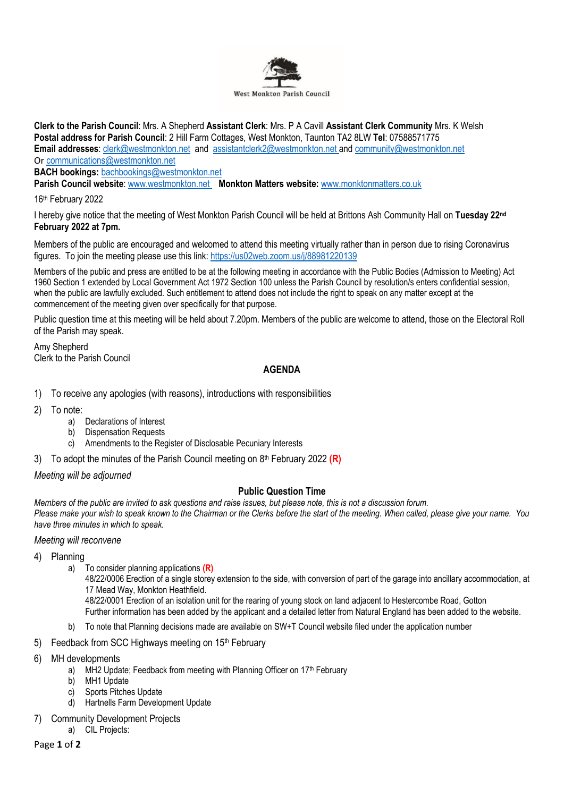

**Clerk to the Parish Council**: Mrs. A Shepherd **Assistant Clerk**: Mrs. P A Cavill **Assistant Clerk Community** Mrs. K Welsh **Postal address for Parish Council**: 2 Hill Farm Cottages, West Monkton, Taunton TA2 8LW **Tel**: 07588571775 **Email addresses**: [clerk@westmonkton.net](mailto:clerk@westmonkton.net) and [assistantclerk2@westmonkton.net](mailto:assistantclerk2@westmonkton.net) an[d community@westmonkton.net](mailto:community@westmonkton.net) Or [communications@westmonkton.net](mailto:communications@westmonkton.net)

**BACH bookings:** [bachbookings@westmonkton.net](mailto:bachbookings@westmonkton.net)

**Parish Council website**: [www.westmonkton.net](http://www.westmonkton.net/) **Monkton Matters website:** [www.monktonmatters.co.uk](http://www.monktonmatters.co.uk/)

16 th February 2022

I hereby give notice that the meeting of West Monkton Parish Council will be held at Brittons Ash Community Hall on **Tuesday 22 nd February 2022 at 7pm.**

Members of the public are encouraged and welcomed to attend this meeting virtually rather than in person due to rising Coronavirus figures. To join the meeting please use this link:<https://us02web.zoom.us/j/88981220139>

Members of the public and press are entitled to be at the following meeting in accordance with the Public Bodies (Admission to Meeting) Act 1960 Section 1 extended by Local Government Act 1972 Section 100 unless the Parish Council by resolution/s enters confidential session, when the public are lawfully excluded. Such entitlement to attend does not include the right to speak on any matter except at the commencement of the meeting given over specifically for that purpose.

Public question time at this meeting will be held about 7.20pm. Members of the public are welcome to attend, those on the Electoral Roll of the Parish may speak.

Amy Shepherd Clerk to the Parish Council

# **AGENDA**

- 1) To receive any apologies (with reasons), introductions with responsibilities
- 2) To note:
	- a) Declarations of Interest
	- b) Dispensation Requests
	- c) Amendments to the Register of Disclosable Pecuniary Interests
- 3) To adopt the minutes of the Parish Council meeting on 8 th February 2022 **(R)**

*Meeting will be adjourned*

### **Public Question Time**

*Members of the public are invited to ask questions and raise issues, but please note, this is not a discussion forum. Please make your wish to speak known to the Chairman or the Clerks before the start of the meeting. When called, please give your name. You have three minutes in which to speak.*

#### *Meeting will reconvene*

### 4) Planning

a) To consider planning applications **(R)**

48/22/0006 Erection of a single storey extension to the side, with conversion of part of the garage into ancillary accommodation, at 17 Mead Way, Monkton Heathfield.

48/22/0001 Erection of an isolation unit for the rearing of young stock on land adjacent to Hestercombe Road, Gotton Further information has been added by the applicant and a detailed letter from Natural England has been added to the website.

- b) To note that Planning decisions made are available on SW+T Council website filed under the application number
- 5) Feedback from SCC Highways meeting on 15<sup>th</sup> February
- 6) MH developments
	- a) MH2 Update; Feedback from meeting with Planning Officer on  $17<sup>th</sup>$  February
	- b) MH1 Update
	- c) Sports Pitches Update
	- d) Hartnells Farm Development Update
- 7) Community Development Projects
	- a) CIL Projects:

Page **1** of **2**